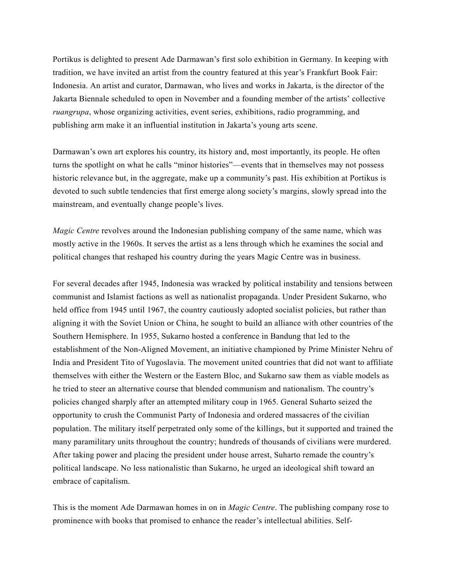Portikus is delighted to present Ade Darmawan's first solo exhibition in Germany. In keeping with tradition, we have invited an artist from the country featured at this year's Frankfurt Book Fair: Indonesia. An artist and curator, Darmawan, who lives and works in Jakarta, is the director of the Jakarta Biennale scheduled to open in November and a founding member of the artists' collective *ruangrupa*, whose organizing activities, event series, exhibitions, radio programming, and publishing arm make it an influential institution in Jakarta's young arts scene.

Darmawan's own art explores his country, its history and, most importantly, its people. He often turns the spotlight on what he calls "minor histories"—events that in themselves may not possess historic relevance but, in the aggregate, make up a community's past. His exhibition at Portikus is devoted to such subtle tendencies that first emerge along society's margins, slowly spread into the mainstream, and eventually change people's lives.

*Magic Centre* revolves around the Indonesian publishing company of the same name, which was mostly active in the 1960s. It serves the artist as a lens through which he examines the social and political changes that reshaped his country during the years Magic Centre was in business.

For several decades after 1945, Indonesia was wracked by political instability and tensions between communist and Islamist factions as well as nationalist propaganda. Under President Sukarno, who held office from 1945 until 1967, the country cautiously adopted socialist policies, but rather than aligning it with the Soviet Union or China, he sought to build an alliance with other countries of the Southern Hemisphere. In 1955, Sukarno hosted a conference in Bandung that led to the establishment of the Non-Aligned Movement, an initiative championed by Prime Minister Nehru of India and President Tito of Yugoslavia. The movement united countries that did not want to affiliate themselves with either the Western or the Eastern Bloc, and Sukarno saw them as viable models as he tried to steer an alternative course that blended communism and nationalism. The country's policies changed sharply after an attempted military coup in 1965. General Suharto seized the opportunity to crush the Communist Party of Indonesia and ordered massacres of the civilian population. The military itself perpetrated only some of the killings, but it supported and trained the many paramilitary units throughout the country; hundreds of thousands of civilians were murdered. After taking power and placing the president under house arrest, Suharto remade the country's political landscape. No less nationalistic than Sukarno, he urged an ideological shift toward an embrace of capitalism.

This is the moment Ade Darmawan homes in on in *Magic Centre*. The publishing company rose to prominence with books that promised to enhance the reader's intellectual abilities. Self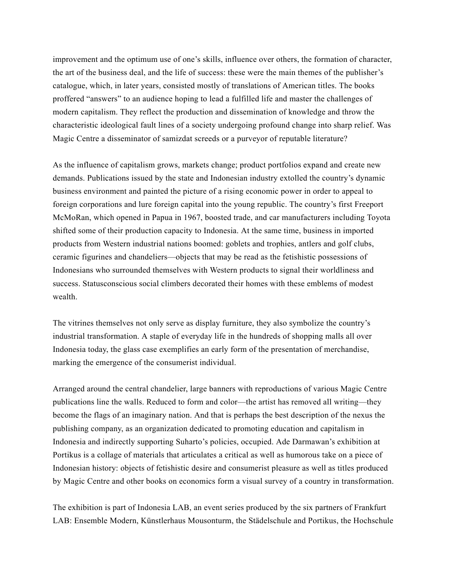improvement and the optimum use of one's skills, influence over others, the formation of character, the art of the business deal, and the life of success: these were the main themes of the publisher's catalogue, which, in later years, consisted mostly of translations of American titles. The books proffered "answers" to an audience hoping to lead a fulfilled life and master the challenges of modern capitalism. They reflect the production and dissemination of knowledge and throw the characteristic ideological fault lines of a society undergoing profound change into sharp relief. Was Magic Centre a disseminator of samizdat screeds or a purveyor of reputable literature?

As the influence of capitalism grows, markets change; product portfolios expand and create new demands. Publications issued by the state and Indonesian industry extolled the country's dynamic business environment and painted the picture of a rising economic power in order to appeal to foreign corporations and lure foreign capital into the young republic. The country's first Freeport McMoRan, which opened in Papua in 1967, boosted trade, and car manufacturers including Toyota shifted some of their production capacity to Indonesia. At the same time, business in imported products from Western industrial nations boomed: goblets and trophies, antlers and golf clubs, ceramic figurines and chandeliers—objects that may be read as the fetishistic possessions of Indonesians who surrounded themselves with Western products to signal their worldliness and success. Statusconscious social climbers decorated their homes with these emblems of modest wealth.

The vitrines themselves not only serve as display furniture, they also symbolize the country's industrial transformation. A staple of everyday life in the hundreds of shopping malls all over Indonesia today, the glass case exemplifies an early form of the presentation of merchandise, marking the emergence of the consumerist individual.

Arranged around the central chandelier, large banners with reproductions of various Magic Centre publications line the walls. Reduced to form and color—the artist has removed all writing—they become the flags of an imaginary nation. And that is perhaps the best description of the nexus the publishing company, as an organization dedicated to promoting education and capitalism in Indonesia and indirectly supporting Suharto's policies, occupied. Ade Darmawan's exhibition at Portikus is a collage of materials that articulates a critical as well as humorous take on a piece of Indonesian history: objects of fetishistic desire and consumerist pleasure as well as titles produced by Magic Centre and other books on economics form a visual survey of a country in transformation.

The exhibition is part of Indonesia LAB, an event series produced by the six partners of Frankfurt LAB: Ensemble Modern, Künstlerhaus Mousonturm, the Städelschule and Portikus, the Hochschule